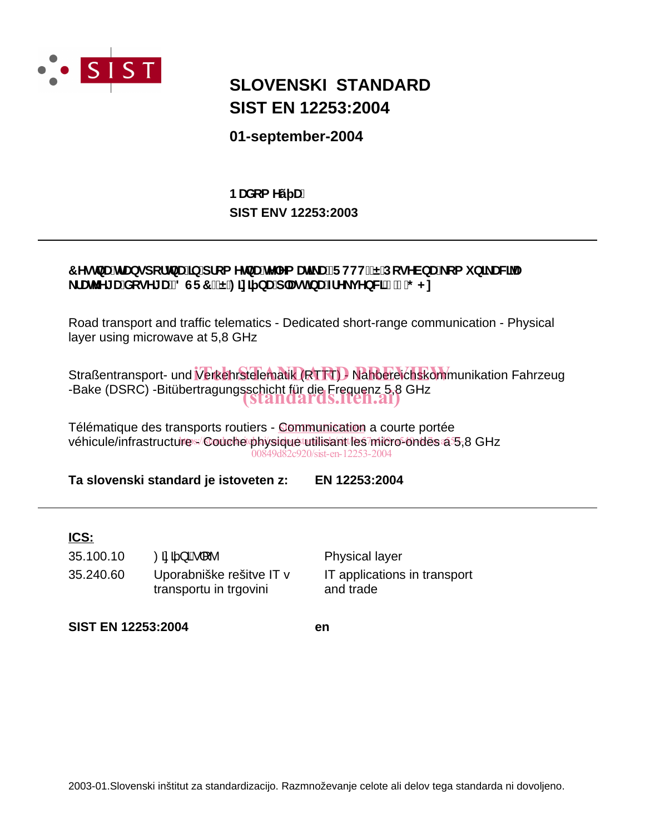

## **SIST EN 12253:2004 SLOVENSKI STANDARD**

## **01-september-2004**

**SIST ENV 12253:2003 BUXca Yý U.** 

## 7 YglbU'lf UbgdcflbU']b'dfca YlbU'lh'Ya Ur<u>l</u>\_U'fFHHHLË'DcgYVbU\_ca i b]\_UV]'U f Uh YT UXcqYT UfB GF7 ŁË: In bUd UghbUZY i YbW) ž: < n

Road transport and traffic telematics - Dedicated short-range communication - Physical layer using microwave at 5,8 GHz

Straßentransport- und Verkehrstelematik (RTRT) Nahbereichskommunikation Fahrzeug -Bake (DSRC) -Bitübertragungsschicht für die Frequenz 5,8 GHz (standards.iteh.ai)

Télématique des transports routiers - **Communication** a courte portée véhicule/infrastructure - Couche physique utilisant les micro-ondes a 5,8 GHz 00849d82c920/sist-en-12253-2004

**Ta slovenski standard je istoveten z: EN 12253:2004**

## **ICS:**

| 35.100.10 | Øãã}ãÁ∥b                 |
|-----------|--------------------------|
| 35.240.60 | Uporabniške rešitve IT v |
|           | transportu in trgovini   |

IT applications in transport and trade Physical layer

**SIST EN 12253:2004 en**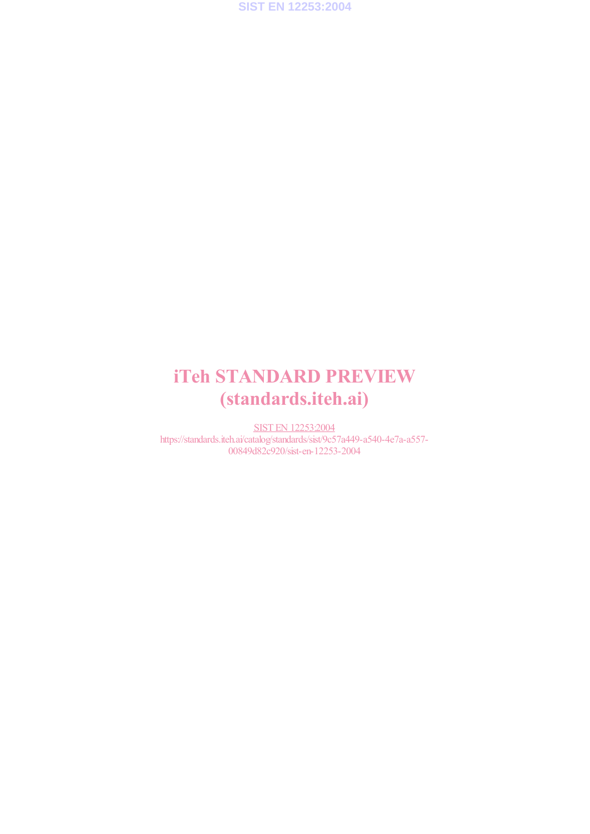

## iTeh STANDARD PREVIEW (standards.iteh.ai)

SIST EN 12253:2004 https://standards.iteh.ai/catalog/standards/sist/9c57a449-a540-4e7a-a557- 00849d82c920/sist-en-12253-2004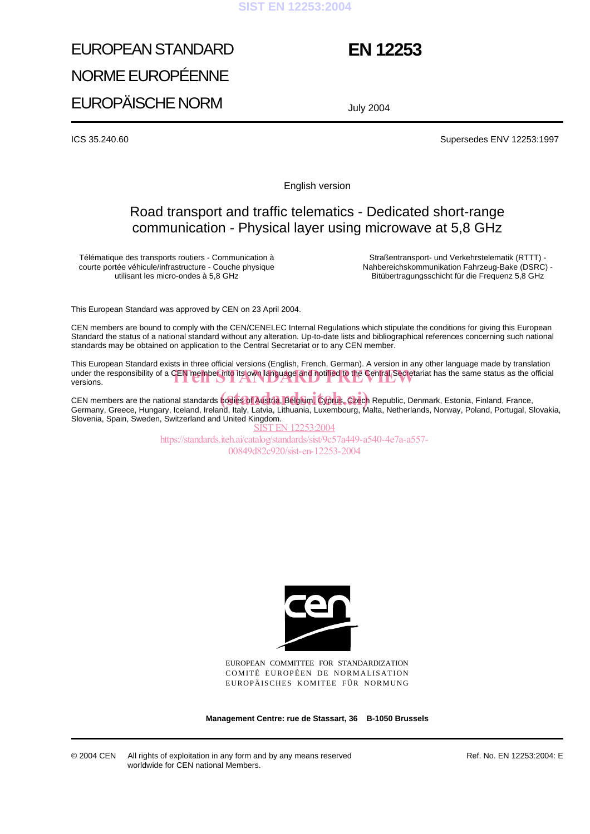#### **SIST EN 12253:2004**

# EUROPEAN STANDARD NORME EUROPÉENNE EUROPÄISCHE NORM

## **EN 12253**

July 2004

ICS 35.240.60 Supersedes ENV 12253:1997

English version

## Road transport and traffic telematics - Dedicated short-range communication - Physical layer using microwave at 5,8 GHz

Télématique des transports routiers - Communication à courte portée véhicule/infrastructure - Couche physique utilisant les micro-ondes à 5,8 GHz

Straßentransport- und Verkehrstelematik (RTTT) - Nahbereichskommunikation Fahrzeug-Bake (DSRC) - Bitübertragungsschicht für die Frequenz 5,8 GHz

This European Standard was approved by CEN on 23 April 2004.

CEN members are bound to comply with the CEN/CENELEC Internal Regulations which stipulate the conditions for giving this European Standard the status of a national standard without any alteration. Up-to-date lists and bibliographical references concerning such national standards may be obtained on application to the Central Secretariat or to any CEN member.

This European Standard exists in three official versions (English, French, German). A version in any other language made by translation under the responsibility of a CEN member into its own language and notified to the Central Secretariat has the same status as the official versions. versions.

CEN members are the national standards **bodies of Austria, Belgium, Cyprus, Czech** Republic, Denmark, Estonia, Finland, France, Germany, Greece, Hungary, Iceland, Ireland, Italy, Latvia, Lithuania, Luxembourg, Malta, Netherlands, Norway, Poland, Portugal, Slovakia, Slovenia, Spain, Sweden, Switzerland and United Kingdom.

ST EN 12253:2004 https://standards.iteh.ai/catalog/standards/sist/9c57a449-a540-4e7a-a557- 00849d82c920/sist-en-12253-2004



EUROPEAN COMMITTEE FOR STANDARDIZATION COMITÉ EUROPÉEN DE NORMALISATION EUROPÄISCHES KOMITEE FÜR NORMUNG

**Management Centre: rue de Stassart, 36 B-1050 Brussels**

Ref. No. EN 12253:2004: E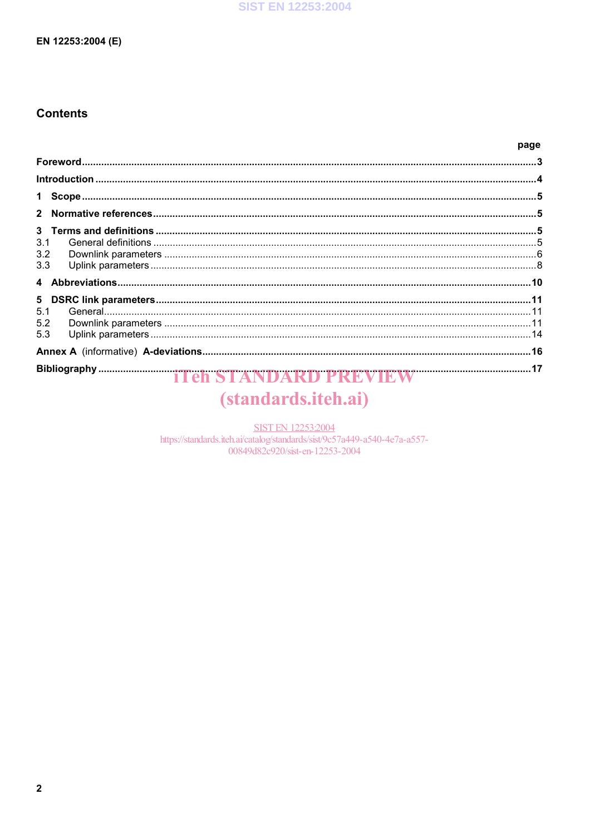## **Contents**

| 3.1<br>3.2<br>3.3 |  |
|-------------------|--|
|                   |  |
| 5.1<br>5.2<br>5.3 |  |
|                   |  |
|                   |  |

# (standards.iteh.ai)

**SIST EN 12253:2004** 

https://standards.iteh.ai/catalog/standards/sist/9c57a449-a540-4e7a-a557-00849d82c920/sist-en-12253-2004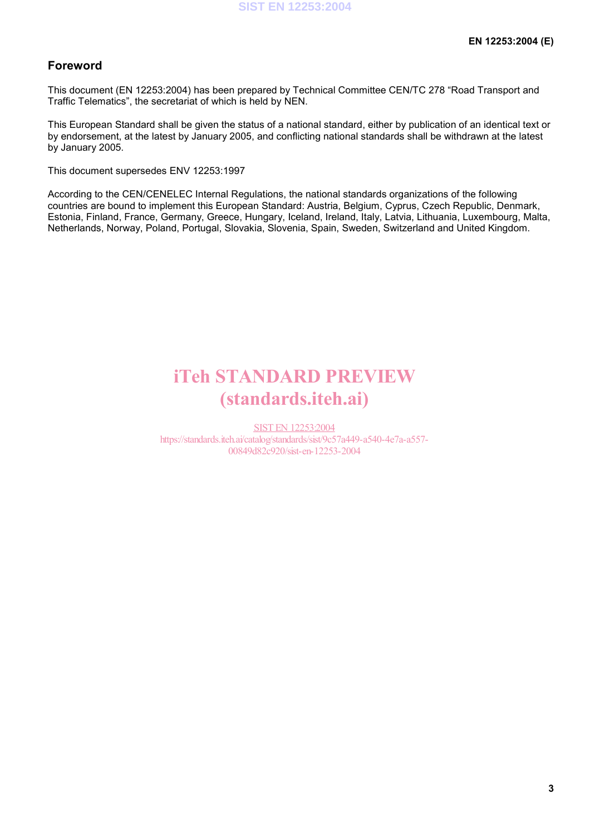## **Foreword**

This document (EN 12253:2004) has been prepared by Technical Committee CEN/TC 278 "Road Transport and Traffic Telematics", the secretariat of which is held by NEN.

This European Standard shall be given the status of a national standard, either by publication of an identical text or by endorsement, at the latest by January 2005, and conflicting national standards shall be withdrawn at the latest by January 2005.

This document supersedes ENV 12253:1997

According to the CEN/CENELEC Internal Regulations, the national standards organizations of the following countries are bound to implement this European Standard: Austria, Belgium, Cyprus, Czech Republic, Denmark, Estonia, Finland, France, Germany, Greece, Hungary, Iceland, Ireland, Italy, Latvia, Lithuania, Luxembourg, Malta, Netherlands, Norway, Poland, Portugal, Slovakia, Slovenia, Spain, Sweden, Switzerland and United Kingdom.

## iTeh STANDARD PREVIEW (standards.iteh.ai)

SIST EN 12253:2004 https://standards.iteh.ai/catalog/standards/sist/9c57a449-a540-4e7a-a557- 00849d82c920/sist-en-12253-2004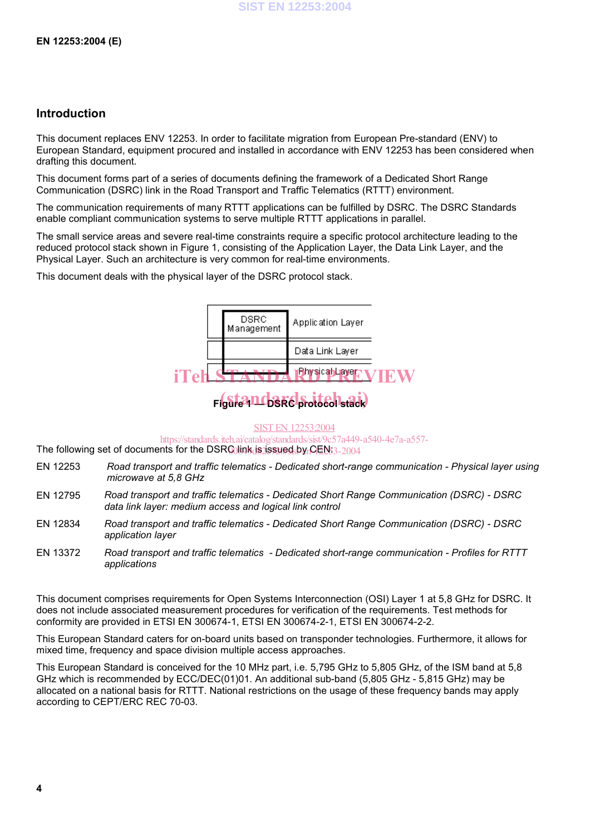## **Introduction**

This document replaces ENV 12253. In order to facilitate migration from European Pre-standard (ENV) to European Standard, equipment procured and installed in accordance with ENV 12253 has been considered when drafting this document.

This document forms part of a series of documents defining the framework of a Dedicated Short Range Communication (DSRC) link in the Road Transport and Traffic Telematics (RTTT) environment.

The communication requirements of many RTTT applications can be fulfilled by DSRC. The DSRC Standards enable compliant communication systems to serve multiple RTTT applications in parallel.

The small service areas and severe real-time constraints require a specific protocol architecture leading to the reduced protocol stack shown in Figure 1, consisting of the Application Layer, the Data Link Layer, and the Physical Layer. Such an architecture is very common for real-time environments.

This document deals with the physical layer of the DSRC protocol stack.



## Figure 11 DSRC protocol stack

#### SIST EN 12253:2004

https://standards.iteh.ai/catalog/standards/sist/9c57a449-a540-4e7a-a557-

The following set of documents for the DSRடுlink is issued by C巨M3-2004

- EN 12253 *Road transport and traffic telematics Dedicated short-range communication Physical layer using microwave at 5,8 GHz*
- EN 12795 *Road transport and traffic telematics Dedicated Short Range Communication (DSRC) DSRC data link layer: medium access and logical link control*
- EN 12834 *Road transport and traffic telematics Dedicated Short Range Communication (DSRC) DSRC application layer*
- EN 13372 *Road transport and traffic telematics Dedicated short-range communication Profiles for RTTT applications*

This document comprises requirements for Open Systems Interconnection (OSI) Layer 1 at 5,8 GHz for DSRC. It does not include associated measurement procedures for verification of the requirements. Test methods for conformity are provided in ETSI EN 300674-1, ETSI EN 300674-2-1, ETSI EN 300674-2-2.

This European Standard caters for on-board units based on transponder technologies. Furthermore, it allows for mixed time, frequency and space division multiple access approaches.

This European Standard is conceived for the 10 MHz part, i.e. 5,795 GHz to 5,805 GHz, of the ISM band at 5,8 GHz which is recommended by ECC/DEC(01)01. An additional sub-band (5,805 GHz - 5,815 GHz) may be allocated on a national basis for RTTT. National restrictions on the usage of these frequency bands may apply according to CEPT/ERC REC 70-03.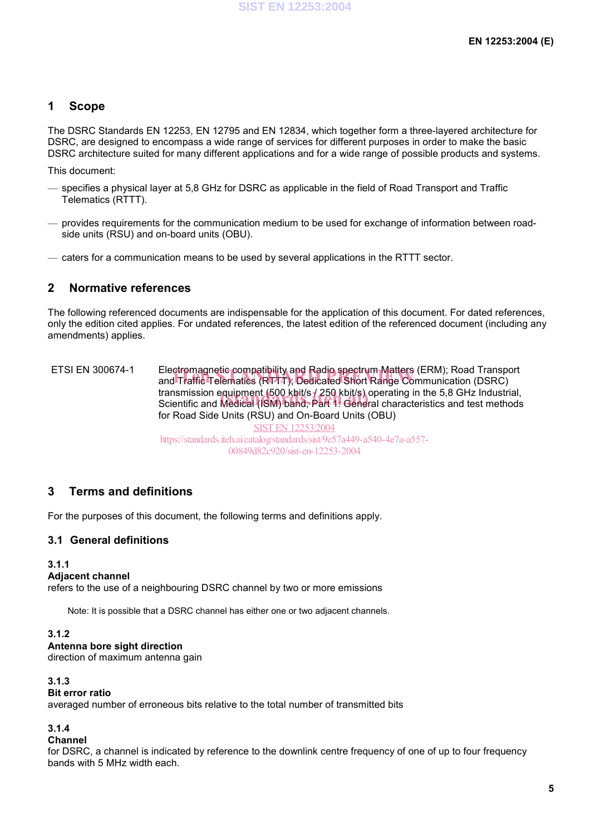## **1 Scope**

The DSRC Standards EN 12253, EN 12795 and EN 12834, which together form a three-layered architecture for DSRC, are designed to encompass a wide range of services for different purposes in order to make the basic DSRC architecture suited for many different applications and for a wide range of possible products and systems.

This document:

- specifies a physical layer at 5,8 GHz for DSRC as applicable in the field of Road Transport and Traffic Telematics (RTTT).
- provides requirements for the communication medium to be used for exchange of information between roadside units (RSU) and on-board units (OBU).
- caters for a communication means to be used by several applications in the RTTT sector.

## **2 Normative references**

The following referenced documents are indispensable for the application of this document. For dated references, only the edition cited applies. For undated references, the latest edition of the referenced document (including any amendments) applies.

ETSI EN 300674-1 Electromagnetic compatibility and Radio spectrum Matters (ERM); Road Transport Electromagnetic compatibility and Radio spectrum Matters (ERM); Road Transpo<br>and Traffic Telematics (RTTT); Dedicated Short Range Communication (DSRC) transmission equipment (500 kbit/s / 250 kbit/s) operating in the 5,8 GHz Industrial, transmission equipment (500 kbit/s / 250 kbit/s) operating in the 5,8 GHz Industrial,<br>Scientific and Medical (ISM) band; Part 1: General characteristics and test methods for Road Side Units (RSU) and On-Board Units (OBU) SIST EN 12253:2004 https://standards.iteh.ai/catalog/standards/sist/9c57a449-a540-4e7a-a557- 00849d82c920/sist-en-12253-2004

## **3 Terms and definitions**

For the purposes of this document, the following terms and definitions apply.

## **3.1 General definitions**

#### **3.1.1**

#### **Adjacent channel**

refers to the use of a neighbouring DSRC channel by two or more emissions

Note: It is possible that a DSRC channel has either one or two adjacent channels.

### **3.1.2**

## **Antenna bore sight direction**

direction of maximum antenna gain

#### **3.1.3**

## **Bit error ratio**

averaged number of erroneous bits relative to the total number of transmitted bits

#### **3.1.4**

#### **Channel**

for DSRC, a channel is indicated by reference to the downlink centre frequency of one of up to four frequency bands with 5 MHz width each.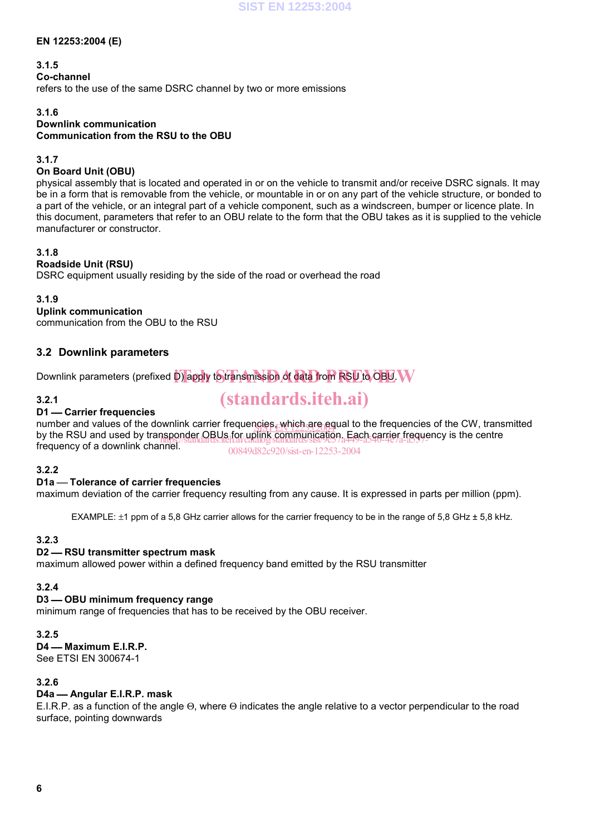**EN 12253:2004 (E)**

**3.1.5 Co-channel**  refers to the use of the same DSRC channel by two or more emissions

### **3.1.6 Downlink communication Communication from the RSU to the OBU**

## **3.1.7**

## **On Board Unit (OBU)**

physical assembly that is located and operated in or on the vehicle to transmit and/or receive DSRC signals. It may be in a form that is removable from the vehicle, or mountable in or on any part of the vehicle structure, or bonded to a part of the vehicle, or an integral part of a vehicle component, such as a windscreen, bumper or licence plate. In this document, parameters that refer to an OBU relate to the form that the OBU takes as it is supplied to the vehicle manufacturer or constructor.

## **3.1.8**

## **Roadside Unit (RSU)**

DSRC equipment usually residing by the side of the road or overhead the road

## **3.1.9**

**Uplink communication** 

communication from the OBU to the RSU

## **3.2 Downlink parameters**

Downlink parameters (prefixed  $\tilde{D}$ ) apply to transmission of data from RSU to OBU. W

## **3.2.1**

## **D1 Carrier frequencies**

number and values of the downlink carrier frequencies, which are equal to the frequencies of the CW, transmitted by the second to the contract the contract of the contract of the contract of the contract of the contract of by the RSU and used by transponder OBUs for uplink communication. Each carrier frequency is the centre in the communication at the sense of a decomption of a decomption of a decomption of a decomption of a decomption of a frequency of a downlink channel. 00849d82c920/sist-en-12253-2004

(standards.iteh.ai)

## **3.2.2**

## **D1a Tolerance of carrier frequencies**

maximum deviation of the carrier frequency resulting from any cause. It is expressed in parts per million (ppm).

EXAMPLE:  $\pm$ 1 ppm of a 5,8 GHz carrier allows for the carrier frequency to be in the range of 5,8 GHz  $\pm$  5,8 kHz.

## **3.2.3**

## **D2 RSU transmitter spectrum mask**

maximum allowed power within a defined frequency band emitted by the RSU transmitter

## **3.2.4**

## **D3 OBU minimum frequency range**

minimum range of frequencies that has to be received by the OBU receiver.

## **3.2.5**

**D4 Maximum E.I.R.P.**  See ETSI EN 300674-1

## **3.2.6**

## **D4a Angular E.I.R.P. mask**

E.I.R.P. as a function of the angle Θ, where Θ indicates the angle relative to a vector perpendicular to the road surface, pointing downwards